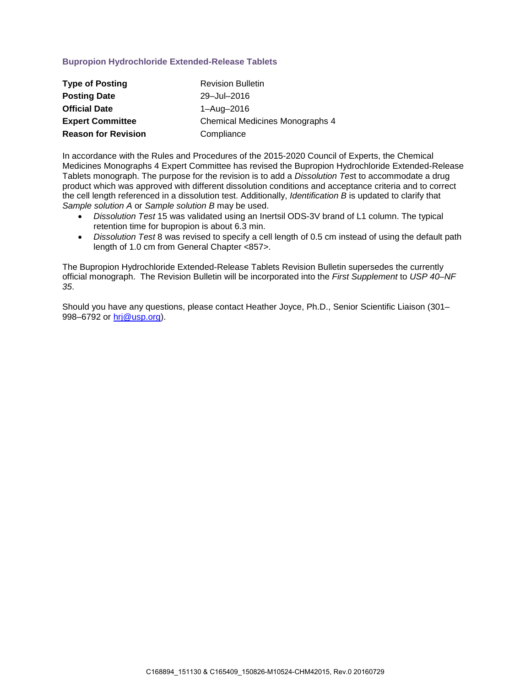## **Bupropion Hydrochloride Extended-Release Tablets**

| <b>Type of Posting</b>     | <b>Revision Bulletin</b>        |
|----------------------------|---------------------------------|
| <b>Posting Date</b>        | 29-Jul-2016                     |
| <b>Official Date</b>       | 1-Aug-2016                      |
| <b>Expert Committee</b>    | Chemical Medicines Monographs 4 |
| <b>Reason for Revision</b> | Compliance                      |

In accordance with the Rules and Procedures of the 2015-2020 Council of Experts, the Chemical Medicines Monographs 4 Expert Committee has revised the Bupropion Hydrochloride Extended-Release Tablets monograph. The purpose for the revision is to add a *Dissolution Tes*t to accommodate a drug product which was approved with different dissolution conditions and acceptance criteria and to correct the cell length referenced in a dissolution test. Additionally, *Identification B* is updated to clarify that *Sample solution A* or *Sample solution B* may be used.

- *Dissolution Test* 15 was validated using an Inertsil ODS-3V brand of L1 column. The typical retention time for bupropion is about 6.3 min.
- *Dissolution Test* 8 was revised to specify a cell length of 0.5 cm instead of using the default path length of 1.0 cm from General Chapter <857>.

The Bupropion Hydrochloride Extended-Release Tablets Revision Bulletin supersedes the currently official monograph. The Revision Bulletin will be incorporated into the *First Supplement* to *USP 40–NF 35*.

Should you have any questions, please contact Heather Joyce, Ph.D., Senior Scientific Liaison (301– 998–6792 or [hrj@usp.org\)](mailto:hrj@usp.org).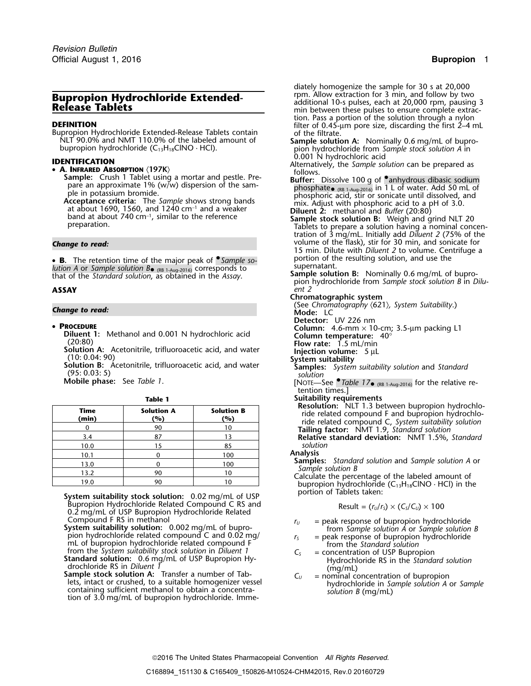**Sample:** Crush 1 Tablet using a mortar and pestle. Pre-<br>pare an approximate 1% (w/w) dispersion of the sam-<br>phosphate (RB 1-Aug-2016) in 1 L of water. Add 50 mL of<br>phosphoric acid, stir or sonicate until dissolved, and<br>p

Acceptance criteria: The Sample shows strong bands<br>at about 1690, 1560, and 1240 cm<sup>-1</sup> and a weaker<br>band at about 740 cm<sup>-1</sup>, similar to the reference<br>preparation.<br>Tablets to prepare a solution B: Weigh and grind NLT 20<br>p

• **B.** The retention time of the major peak of  $^{\circ}$  *Sample so*-<br> **bution A** or *Sample solution*  $P$ *Bution A* or *Sample solution B* (*RB* 1-Aug-2016) corresponds to supernatant.<br> **Sample solution B**•. Nominally 0.6 mg/mL of bupro-<br> **Sample solution B**•. Nominally 0.6 mg/mL of bupro-

### **ASSAY** *ent 2*

- •
- **PROCEDURE**<br> **Diluent 1:** Methanol and 0.001 N hydrochloric acid<br>
(20:80)<br>
Solution A: Acetonitrile, trifluoroacetic acid, and water<br>
Solution A: Acetonitrile, trifluoroacetic acid, and water<br>
Solution A: Acetonitrile, t
	- Solution A: Acetonitrile, trifluoroacetic acid, and water **Solution volume:** 5 µL<br>
	(10: 0.04: 90) **System suitability**<br> **Solution B:** Acetonitrile, trifluoroacetic acid, and water **Samples:** *System suitability solution*<br>
	- (95: 0.03: 5)<br>**Mobile phase:** See Table 1.

| <b>JUILANI</b>             |                          | Table T                  |               |  |
|----------------------------|--------------------------|--------------------------|---------------|--|
| Resolu<br>ride i<br>ride i | <b>Solution B</b><br>(%) | <b>Solution A</b><br>(9) | Time<br>(min) |  |
| <b>Tailine</b>             |                          | 90                       |               |  |
| Relati                     |                          |                          | 3.4           |  |
| soluti                     |                          |                          | 10.0          |  |
| Analysis                   | 100                      |                          | 10.1          |  |
|                            |                          |                          |               |  |

- **System suitability stock solution:** 0.02 mg/mL of USP Bupropion Hydrochloride Related Compound C RS and 0.2 mg/mL of USP Bupropion Hydrochloride Related<br>Compound F RS in methanol
- Compound F RS in methanol **System suitability solution:** 0.002 mg/mL of bupro-<br>**System suitability solution:** 0.002 mg/mL of bupro-<br>pion hydrochloride related compound C and 0.02 mg/<br> $r_s$  = peak response of bupropion hydro pion hydrochloride related compound C and 0.02 mg/ *r<sub>S</sub>* = peak response of bupropion hydrochloride related compound F<br>from the *System suitability stock solution* in *Diluent 1* c<sub>S</sub> = concentration of USP Bupropion
- discribend and the state of Tab-<br>
Sample stock solution A: Transfer a number of Tab-<br>
lets, intact or crushed, to a suitable homogenizer vessel<br>
containing sufficient methanol to obtain a concentra-<br>
tion of 3.0 mg/mL of

diately homogenize the sample for 30 s at 20,000 rpm. Allow extraction for 3 min, and follow by two **Bupropion Hydrochloride Extended-**<br>**Release Tablets additional 10-s pulses, each at 20,000 rpm, pausing 3<br>min between these pulses to ensure complete extrac-<br>tion. Pass a portion of the solution through a nylon** tilter of 0.45-μm pore size, discarding the first 2–4 mL<br>Bupropion Hydrochloride Extended-Release Tablets contain of the filtrate.<br>NLT 90.0% and NMT 110.0% of the labeled amount of **Sample solution A:** Nominally 0.6 mg/mL

- NLT 90.0% and NMT 110.0% of the labeled amount of **Sample solution A:** Nominally 0.6 mg/mL of bupro-<br>bupropion hydrochloride (C<sub>13</sub>H<sub>18</sub>ClNO · HCl). pion hydrochloride from *Sample stock solution A* in<br>0.001 N hydrochloric
- 0.001 N hydrochloric acid **IDENTIFICATION** Alternatively, the *Sample solution* can be prepared as •
	-
- tration of 3 mg/mL. Initially add *Diluent 2* (75% of the *Change to read:* volume of the flask), stir for 30 min, and sonicate for 15 min. Dilute with *Diluent 2* to volume. Centrifuge a
	- pion hydrochloride from Sample stock solution B in Dilu-<br>ent 2

**Chromatographic system**

(See *Chromatography* 〈621〉*, System Suitability*.) *Change to read:* **Mode:** LC

- 
- 

- 
- 
- 
- 

**Mobile phase:** See *Table 1*.  $[NOTE \rightarrow See \rightarrow Table \ 17 \rightarrow (RB \ 1-Aug-2016)$  for the relative retention times.]

**Table 1 Suitability requirements**<br>**Resolution:** NLT 1.3 between bupropion hydrochloride related compound F and bupropion hydrochloride related compound C, System suitability solution<br>Tailing factor: NMT 1.9, Standard solution

3.4 <sup>87</sup> <sup>13</sup> **Relative standard deviation:** NMT 1.5%, *Standard* 10.0 15 85 *solution*

- 
- 
- **Samples:** *Standard solution* and *Sample solution A* or 13.0 <sup>0</sup> <sup>100</sup> *Sample solution B* 13.2 <sup>90</sup> <sup>10</sup> Calculate the percentage of the labeled amount of 19.0 <sup>90</sup> <sup>10</sup> bupropion hydrochloride (C13H18ClNO · HCl) in the

$$
Result = (r_U/r_S) \times (C_S/C_U) \times 100
$$

- 
- 
- From the *System suitability stock solution* in *Diluent 1*<br> **Standard solution:** 0.6 mg/mL of USP Bupropion Hy-<br>
drochloride RS in *Diluent 1*<br>
drochloride RS in *Diluent 1*<br>
(mg/mL)<br>
(mg/mL)
	-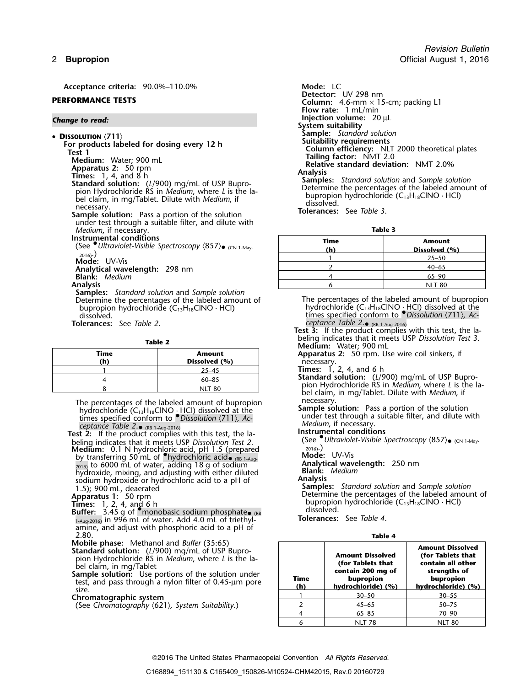**Acceptance criteria:** 90.0%–110.0% **Mode:** LC

**DISSOLUTION**  $\langle 711 \rangle$ <br>**Sample:** *Standard solution*<br>For products labeled for dosing every 12 h **Por products labeled for dosing every 12 h Column efficiency:** NLT 2000 theoretical plates **Test 1 Column efficiency:** NLT 2000 theoretical plates **Medium: Tailing factor:** NMT 2.0 Water; 900 mL **Apparatus 2:** 50 rpm<br> **Apparatus 2:** 50 rpm **Relative standard deviation:** NMT 2.0%<br> **Relative standard deviation:** NMT 2.0%<br> **Analysis**<br> **Analysis**<br> **Analysis** Sample solution: Pass a portion of the solution<br>under test through a suitable filter, and dilute with *Medium*, if necessary. **Table 3 Instrumental conditions (See •***Ultraviolet-Visible Spectroscopy*  $\langle 857 \rangle$ • (CN 1-May-2016). 2016).) <sup>1</sup> 25–50 **Mode:** UV-Vis **Mode:** UV-Vis<br>**Analytical wavelength:** 298 nm **Blank:** Medium **Analysis** Nutries and Nutries and Nutries and Nutries and Nutries and Nutries and Nutries and Nutries and Nutries **Samples:** *Standard solution* and *Sample solution*

Determine the percentages of the labeled amount of  $\begin{array}{ccc}\n\text{Determine} & \text{The percentages of the labeled amount of bupropion bydrochloride (C}_{13}H_{18}CINO \cdot HCl) & \text{dissolved at the}\n\end{array}$ bupropion hydrochloride (C<sub>13</sub>H<sub>18</sub>ClNO · HCl) hydrochloride (C<sub>13</sub>H<sub>18</sub>ClNO · HCl) dissolved at the 13H18ClNO · hCl) dissolved at the 13H18ClNO · HCl issolved at the 13H18ClNO · HCl issolved.<br>dissolved.

**Tolerances:** See *Table 2*.

| Time | Amount<br>Dissolved (%) | $11.2$ and $11.1$ , $11.4$ and $11.7$<br>Apparatus 2: 50 rpm.<br>necessary. |
|------|-------------------------|-----------------------------------------------------------------------------|
|      | $25 - 45$               | <b>Times:</b> $\overline{1}$ , 2, 4, and 6 h                                |
|      | $60 - 85$               | Standard solution: (L/!                                                     |
|      | <b>NLT 80</b>           | pion Hydrochloride RS<br>للمراجل والمتحدث والمتراوي والمراوية               |

The percentages of the labeled amount of bupropion<br>hydrochloride (C<sub>12</sub>H<sub>12</sub>CINO · HCI) dissolved at the **Sample solution:** Pass a portion of the solution hydrochloride (C<sub>13</sub>H<sub>18</sub>ClNO · HCl) dissolved at the **Sample solution:** Pass a portion of the solution 13H18ClNO · HCl) dissolved at the times specified conform to *•Dissolution*  $\langle 711 \rangle$ *, Ac*-<br> **And the state of through a suitable filter, and dilute with** *Medium*, if necessary. *ceptance Table 2*. • (RB 1-Aug-2016)

**Test 2:** If the product complies with this test, the la-<br>
beling indicates that it meets USP Dissolution Test 2. (See Ultraviolet-Visible Spectroscopy (857) (CN 1-Maybeling indicates that it meets USP *Dissolution Test 2* (See •.*Ultraviolet-Visible Spectroscopy* 〈857〉• (CN 1-May- . **Medium:** 2016).) 0.1 N hydrochloric acid, pH 1.5 (prepared by transferring 50 mL of • hydrochloric acid• (RB 1-Aug-**Mode:** UV-Vis<br><sub>2016)</sub> to 6000 mL of water, adding 18 g of sodium **Analytical wavelength:** 250 nm hydroxide, mixing, and adjusting with either diluted **Blank:** *Medium* sodium hydroxide or hydrochloric acid to a pH of 1.5); 900 mL, deaerated

- 
- 

**Buffer:** 3.45 g of •monobasic sodium phosphate<sub>• (RB</sub> dissolved.<br><sub>1-Aug-2016)</sub> in 996 mL of water. Add 4.0 mL of triethyl-**Tolerances:** See *Table 4*. amine, and adjust with phosphoric acid to a pH of 2.80. 2.80. **Table 4**

### **Chromatographic system**

*Revision Bulletin* 2 **Bupropion** Official August 1, 2016

**Detector:** UV 298 nm **PERFORMANCE TESTS**<br> **Column:** 4.6-mm × 15-cm; packing L1 **Flow rate:** 1 mL/min **Injection volume:** 20 µL **Change to read: Injection volume:** 20 µL **Change to read: System suitability Standard solution:** (L/900) mg/mL of USP Bupro-<br> **Standard solution and Sample solution:** (L/900) mg/mL of USP Bupro-<br>
pion Hydrochloride RS in Medium, where L is the la-<br>
bel claim, in mg/Tablet. Dilute with Medium, if<br>

|                      | --------    |                                |  |
|----------------------|-------------|--------------------------------|--|
| $\bullet$ (CN 1-May- | Time<br>(h) | <b>Amount</b><br>Dissolved (%) |  |
|                      |             | $25 - 50$                      |  |
|                      |             | $40 - 65$                      |  |
|                      |             | $65 - 90$                      |  |
|                      |             | <b>NLT 80</b>                  |  |

● (RB 1-Aug-2016)

**Test 3:** If the product complies with this test, the labeling indicates that it meets USP *Dissolution Test 3*. **Table 2 Medium:** Water; 900 mL

**Apparatus 2:** 50 rpm. Use wire coil sinkers, if

**Standard solution:** (L/900) mg/mL of USP Bupropion Hydrochloride RS in *Medium*, where *L* is the la-<br>bel claim, in mg/Tablet. Dilute with *Medium*, if

1.5); 900 mL, deaerated **Samples: Standard solution** and *Samples*: 1.5); 900 mL, deaerated **Sample solution**<br>**Apparatus 1:** 50 rpm **Sample Solution** Determine the percentages of the labeled amour Determine the percentages of the labeled amount of bupropion hydrochloride (C<sub>13</sub>H<sub>18</sub>ClNO · HCl) **Times:** 1, 2, 4, and 6 h **bupropion** hydrochloride (C<sub>13</sub>H<sub>18</sub>ClNO · HCl)

| Mobile phase: Methanol and Buffer (35:65)<br><b>Standard solution:</b> (L/900) mg/mL of USP Bupro-<br>pion Hydrochloride RS in Medium, where L is the la-<br>bel claim, in mg/Tablet<br><b>Sample solution:</b> Use portions of the solution under<br>test, and pass through a nylon filter of 0.45-um pore<br>size. | Time<br>(h) | <b>Amount Dissolved</b><br>(for Tablets that<br>contain 200 mg of<br>bupropion<br>hydrochloride) (%) | <b>Amount Dissolved</b><br>(for Tablets that<br>contain all other<br>strengths of<br>bupropion<br>hydrochloride) (%) |
|----------------------------------------------------------------------------------------------------------------------------------------------------------------------------------------------------------------------------------------------------------------------------------------------------------------------|-------------|------------------------------------------------------------------------------------------------------|----------------------------------------------------------------------------------------------------------------------|
| Chromatographic system                                                                                                                                                                                                                                                                                               |             | $30 - 50$                                                                                            | $30 - 55$                                                                                                            |
| (See Chromatography $(621)$ , System Suitability.)                                                                                                                                                                                                                                                                   |             | $45 - 65$                                                                                            | $50 - 75$                                                                                                            |
|                                                                                                                                                                                                                                                                                                                      |             | $65 - 85$                                                                                            | $70 - 90$                                                                                                            |
|                                                                                                                                                                                                                                                                                                                      |             | <b>NLT 78</b>                                                                                        | <b>NLT 80</b>                                                                                                        |

2016 The United States Pharmacopeial Convention *All Rights Reserved.*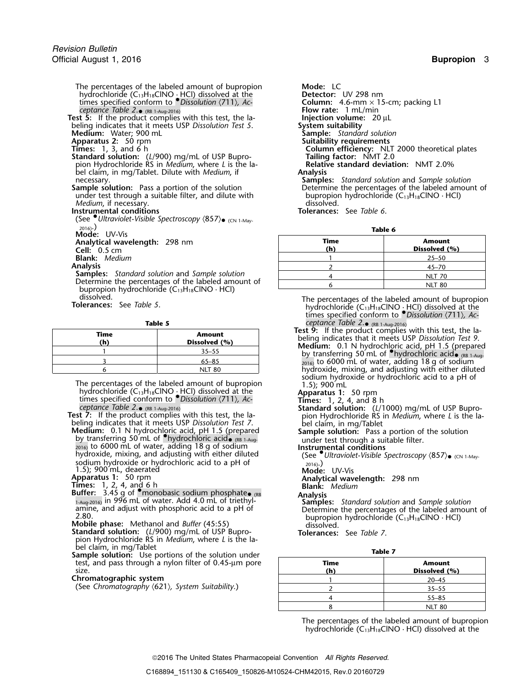- The percentages of the labeled amount of bupropion **Mode:** LC<br>hydrochloride (C<sub>13</sub>H<sub>18</sub>CINO · HCl) dissolved at the **Detector:** UV 298 nm hydrochloride (C13H18ClNO · HCl) dissolved at the **Detector:** UV 298 nm times specified conform to •.*Dissolution* 〈711〉*, Ac-* **Column:** 4.6-mm × 15-cm; packing L1 *ceptance Table 2*. • (RB 1-Aug-2016) **Flow rate:**<sup>1</sup> mL/min
- **Test 5:** If the product complies with this test, the la- **Injection volume:** 20 µL beling indicates that it meets USP *Dissolution Test 5*. **System suitability**<br>**Medium:** Water; 900 mL **Medium:** Water; 900 mL **Sample:** *Standard solution*
- 
- 
- **Standard solution:** (*L*/900) mg/mL of USP Bupro-<br> **Tailing factor:** NMT 2.0<br> **Relative standard deviation:** NMT 2.0% pion Hydrochloride RS in *Medium*, where *L* is the la-<br>bel claim, in mg/Tablet. Dilute with *Medium*, if **Analysis** bel claim, in mg/Tablet. Dilute with *Medium*, if necessary.
- under test through a suitable filter, and dilute with bupropion<br>Medium, if necessary. *Medium*, if necessary. **disponent in the control of the control of the control of the control of the control of the control of the control of the control of the control of the control of the control of the control of the**

- **Instrumental conditions Tolerances:** See *Table 6*.<br>(See *•Ultraviolet-Visible Spectroscopy*  $\langle 857 \rangle$  <sub>(CN 1-May-</sub>) 2016).) **Table 6 Mode:** UV-Vis
- 
- **Analytical wavelength: 298 nm**
- **Cell:** 0.5 cm
- **Blank:** Medium
- 
- **Samples:** *Standard solution* and *Sample solution* Determine the percentages of the labeled amount of bupropion hydrochloride ( $C_{13}H_{18}CINO \cdot HC$ ) dissolved.
- 

| Time<br>(h) | <b>Amount</b><br>Dissolved (%) |
|-------------|--------------------------------|
|             | $35 - 55$                      |
|             | $65 - 85$                      |
|             | <b>NLT 80</b>                  |

The percentages of the labeled amount of bupropion  $1.5$ ; 900 mL<br>hydrochloride (C<sub>13</sub>H<sub>18</sub>ClNO · HCl) dissolved at the **Apparatus 1:** 50 rpm<br>times specified conform to *Dissolution* (711), *Ac* Times: 1, 2, 4, and 8 h<br>cep *ceptance Table 2*. •

- 
- beling indicates that it meets USP Dissolution Test 7.<br>**Medium:** 0.1 N hydrochloric acid, pH 1.5 (prepared **Sample solution:** Pass a portion of the solution<br>by transferring 50 mL of "hydrochloric acid<sub>e (RB 1-Aug</sub>. The com 2016) to 6000 mL of water, adding 18 g of sodium **Instrumental conditions** hydroxide, mixing, and adjusting with either diluted (See  $\bullet$ *Ultraviolet-Visible Spectroscopy*  $\langle 857\rangle_{\bullet}$  <sub>(CN 1-May-</sub> sodium hydroxide or hydrochloric acid to a pH of <br>1.5); 900 mL, deaerated **Mode:** UV-Vis<br>**Apparatus 1:** 50 rpm
- 

- Apparatus 1: 50 rpm<br>**Times:** 1, 2, 4, and 6 h **Blank:** *Medium***<br>Buffer: \_3.45 g of ●monobasic sodium phosphate<sub>● (RB</sub> Analysis** *Medium*
- 
- **Standard solution:** (*L*/900) mg/mL of USP Bupro- **Tolerances:** See *Table 7*. pion Hydrochloride RS in *Medium*, where *L* is the la-
- bel claim, in mg/Tablet **Table 7 Sample solution:** Use portions of the solution under test, and pass through a nylon filter of 0.45-um pore
- **Chromatographic system**

- **Apparatus 2:** 50 rpm **Suitability requirements Times:** 1, 3, and 6 h<br> **Standard solution:** (L/900) mg/mL of USP Bupro-<br> **Column efficiency:** NMT 2.0 necessary. **Samples:** *Standard solution* and *Sample solution* Determine the percentages of the labeled amount of bupropion hydrochloride (C<sub>13</sub>H<sub>18</sub>ClNO · HCl)
	-

| Mode: UV-Vis                                            |             |                                |  |
|---------------------------------------------------------|-------------|--------------------------------|--|
| Analytical wavelength: 298 nm<br>Cell: $0.5 \text{ cm}$ | Time<br>(h) | <b>Amount</b><br>Dissolved (%) |  |
| <b>Blank:</b> Medium                                    |             | $25 - 50$                      |  |
| Analvsis                                                |             | $45 - 70$                      |  |
| <b>Samples:</b> Standard solution and Sample solution   |             | <b>NLT 70</b>                  |  |
| Determine the percentages of the labeled amount of      |             | <b>NLT 80</b>                  |  |

dissolved. The percentages of the labeled amount of bupropion **Tolerances:** See *Table 5*. hydrochloride (C13H18ClNO · HCl) dissolved at the times specified conform to *Dissolution*  $\langle 711 \rangle$ , *Ac-***Table 5** *ceptance Table 2*. • (RB 1-Aug-2016)

- **Time**<br> **Amount**<br> **Dissolved (%)**<br> **Dissolved (%)**<br> **Dissolved (%)**<br> **Dissolved (%)**<br> **Dissolved (%)**<br> **Dissolved (%)**<br> **Dissolved (%)**<br> **Dissolved (%)**<br> **Dissolved (%)**<br> **Dissolved (%)**<br> **Dissolved (%)**<br> **Dissolved (%)**<br>  $_{2016}$ ) to 6000 mL of water, adding 18 g of sodium hydroxide, mixing, and adjusting with either diluted sodium hydroxide or hydrochloric acid to a pH of
	-
	-
- Test 7: If the product complies with this test, the la-<br>beling indicates that it meets USP *Dissolution Test 7*.<br>bel claim, in mg/Tablet
	- under test through a suitable filter.
	-
	-
	-
	-

Analysis<br>Samples: Standard solution and Sample solution  $\frac{1-\text{Aug-2016}}{2.80}$  in 996 mL of water. Add 4.0 mL of triethyl-<br>amine, and adjust with phosphoric acid to a pH of<br>2.80.<br>**Mobile phase:** Methanol and *Buffer* (45:55)<br>Mobile phase: Methanol and *Buffer* (45:55)<br>Mobile p

| ample solution. Ose portions of the solution under<br>test, and pass through a nylon filter of 0.45-µm pore<br>size.<br>hromatographic system<br>(See Chromatography $\langle 621 \rangle$ , System Suitability.) | Time<br>(h) | Amount<br>Dissolved (%) |
|-------------------------------------------------------------------------------------------------------------------------------------------------------------------------------------------------------------------|-------------|-------------------------|
|                                                                                                                                                                                                                   |             | $20 - 45$               |
|                                                                                                                                                                                                                   |             | $35 - 55$               |
|                                                                                                                                                                                                                   |             | $55 - 85$               |
|                                                                                                                                                                                                                   |             | <b>NLT 80</b>           |

The percentages of the labeled amount of bupropion hydrochloride  $(C_{13}H_{18}CINO \cdot HCl)$  dissolved at the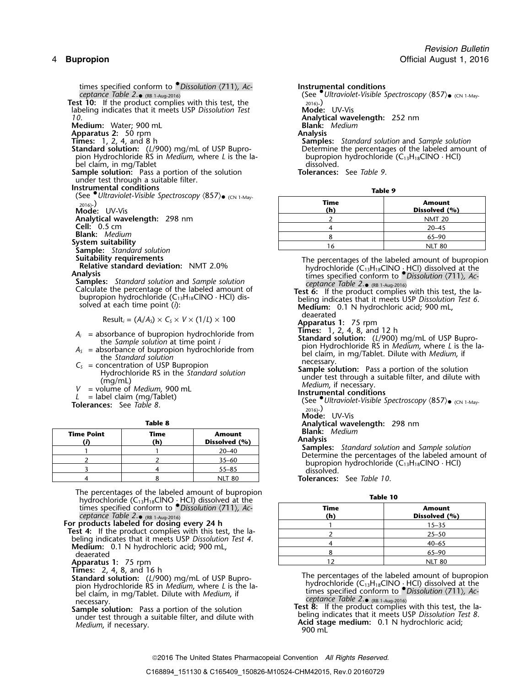times specified conform to  $\bullet$  *Dissolution*  $(711)$ *, Ac-* **Instrumental conditions** *ceptance Table 2*. •

- **Test 10:** If the product complies with this test, the 2016. labeling indicates that it meets USP *Dissolution Test* **Mode:** UV-Vis
- **Medium:** Water; 900 mL<br>**Apparatus 2:** 50 rpm
- **Apparatus 2:** 50 rpm<br>**Times:** 1, 2, 4, and 8 h
- 
- pion Hydrochloride RS in *Medium*, where *L* is the la- bupropion hydrochloride RS in *Medium*, where *L* is the la-<br>hydrochloride (dissolved)
- bel claim, in mg/Tablet bel claim, in mg/Tablet dissolved.<br> **ample solution:** Pass a portion of the solution and the solution of the solution dissolved. **Sample solution:** Pass a portion of the solution under test through a suitable filter.<br>Instrumental conditions
- 
- **Instrumental conditions Table 9 Table 9 Table 9 Table 9 Table 9 Table 9 Table 9 Table 9 Table 9 Table 9 Table 9 Table 9 Table 9 Table 9 Table 9 Table 9 Table 9 Table 9 Table 9 Table**
- 
- **Analytical wavelength: 298 nm Cell:** 0.5 cm
- 
- 
- 
- **Blank:** *Medium*<br>**System suitability**<br>**Sample:** *Standard solution*<br>**Suitability requirements**
- 
- 

$$
Result_i = (A_i/A_s) \times C_s \times V \times (1/L) \times 100
$$

- 
- 
- 
- 
- 
- 

|                   |             |                                | $\frac{1}{2}$ $\frac{1}{2}$ $\frac{1}{2}$ $\frac{1}{2}$ $\frac{1}{2}$ $\frac{1}{2}$ $\frac{1}{2}$ $\frac{1}{2}$ $\frac{1}{2}$ $\frac{1}{2}$ $\frac{1}{2}$ $\frac{1}{2}$ $\frac{1}{2}$ $\frac{1}{2}$ $\frac{1}{2}$ $\frac{1}{2}$ $\frac{1}{2}$ $\frac{1}{2}$ $\frac{1}{2}$ $\frac{1}{2}$ $\frac{1}{2}$ $\frac{1}{2}$ |
|-------------------|-------------|--------------------------------|---------------------------------------------------------------------------------------------------------------------------------------------------------------------------------------------------------------------------------------------------------------------------------------------------------------------|
| <b>Time Point</b> | Time<br>(h) | <b>Amount</b><br>Dissolved (%) | <b>Blank:</b> Medium<br><b>Analysis</b>                                                                                                                                                                                                                                                                             |
|                   |             | $20 - 40$                      | <b>Samples:</b> Standard solution and Sample solution                                                                                                                                                                                                                                                               |
|                   |             | $35 - 60$                      | Determine the percentages of the labeled amount of<br>bupropion hydrochloride $(C_{13}H_{18}CINO \cdot HCl)$                                                                                                                                                                                                        |
|                   |             | $55 - 85$                      | dissolved.                                                                                                                                                                                                                                                                                                          |
|                   |             | <b>NLT 80</b>                  | <b>Tolerances:</b> See Table 10.                                                                                                                                                                                                                                                                                    |

The percentages of the labeled amount of bupropion<br>hydrochloride (C<sub>13</sub>H<sub>18</sub>ClNO <u>· HCl)</u> dissolved at the **Table 10** times specified conform to •.*Dissolution* 〈711〉*, Ac-* **Time Amount**

- **Test 4:** If the product complies with this test, the labeling indicates that it meets USP *Dissolution Test 4*. **Medium:** 0.1 N hydrochloric acid; 900 mL, deaerated
	-
	- **Apparatus 1:** 75 rpm<br>**Times:** 2, 4, 8, and 16 h
	-
	-

(See *Ultraviolet-Visible Spectroscopy*  $\langle 857 \rangle$  (CN 1-May-2016) *10*. **Analytical wavelength:** 252 nm **Times:** 1, 2, 4, and 8 h **Samples:** *Standard solution* and *Sample solution* **Standard solution:** (L/900) mg/mL of USP Bupro-Determine the percentages of the labeled amount of bupropion hydrochloride (C<sub>13</sub>H<sub>18</sub>ClNO · HCl)

| (See Ultraviolet-Visible Spectroscopy (857) cn 1-May-<br>$2016$ .)<br>Mode: UV-Vis | Time<br>(h) | Amount<br>Dissolved (%) |
|------------------------------------------------------------------------------------|-------------|-------------------------|
| Analytical wavelength: 298 nm                                                      |             | <b>NMT 20</b>           |
| <b>Cell:</b> 0.5 cm                                                                |             | $20 - 45$               |
| <b>Blank:</b> Medium                                                               |             | 65–90                   |
| ystem suitability                                                                  | 16          | <b>NLT 80</b>           |

Suitability requirements<br>
Relative standard deviation: NMT 2.0%<br>
Analysis<br>
Samples: Standard solution and Sample solution<br>
Samples: Standard solution and Sample solution<br>
Samples: Standard solution and Sample solution<br>
Sa

**Ceptance Table 2. (RB 1-Aug-2016)**<br> **Test 6:** If the product complies with this test, the la-Calculate the percentage of the labeled amount of<br>buryopion hydrochloride (C<sub>13</sub>H<sub>18</sub>ClNO · HCl) dis-<br>solved at each time point (i):<br> $\begin{array}{ll}\n\text{Required} & \text{total} & \text{total} \\
\text{b} & \text{total} & \text{total} \\
\text{c} & \text{total} & \text{total} \\
\text{c} & \text{total} & \text{total} \\
\text{c} & \$ 

- 
- Apparatus 1: 75 rpm<br>Times: 1, 2, 4, 8, and 12 h
- *A<sub>i</sub>* = absorbance of bupropion hydrochloride from<br>
the *Sample solution* at time point *i*<br> *A<sub>s</sub>* = absorbance of bupropion hydrochloride from<br>
the *Sample solution*<br>
the *Samdard solution*<br>
the *Samdard solution*<br>
the
	-
	- - (See *Ultraviolet-Visible Spectroscopy*  $\langle 857 \rangle_{\bullet}$  (CN 1-May- $_{2016)}$ .)
		- **Mode:** UV-Vis
	- **Table 8 Analytical wavelength:** 298 nm

# **Time Point Time Amount Blank:** *Medium*

- 
- 4 8 NLT 80 **Tolerances:** See *Table 10*.

| <b>Try and children's Construction of the University Construction</b> |      |               |
|-----------------------------------------------------------------------|------|---------------|
| times specified conform to $\bullet$ Dissolution $(711)$ , Ac-        | Time | <b>Amount</b> |
| ceptance Table $2.\bullet$ (RB 1-Aug-2016)                            | (h)  | Dissolved (%) |
| For products labeled for dosing every 24 h                            |      | $15 - 35$     |
| <b>Test 4:</b> If the product complies with this test, the la-        |      | $25 - 50$     |
| beling indicates that it meets USP Dissolution Test 4.                |      | $40 - 65$     |
| Medium: 0.1 N hydrochloric acid; 900 mL,<br>deaerated                 |      | 65–90         |
| <b>Apparatus 1: 75 rpm</b>                                            |      | <b>NLT 80</b> |

Standard solution: (1/900) mg/mL of USP Bupro-<br>
pion Hydrochloride RS in Medium, where L is the la-<br>
bel claim, in mg/Tablet. Dilute with Medium, if<br>
necessary.

Sample solution: Pass a portion of the solution<br>
under test through a suitable filter, and dilute with<br>
under test through a suitable filter, and dilute with<br>
a sid the product complies with this test, the la-<br>
a sid throu ander test through a suitable filter, and dilute with **Deling indicates that it meets USP** Dissolution Te<br>Medium, if necessary.<br>900 mL<br>900 mL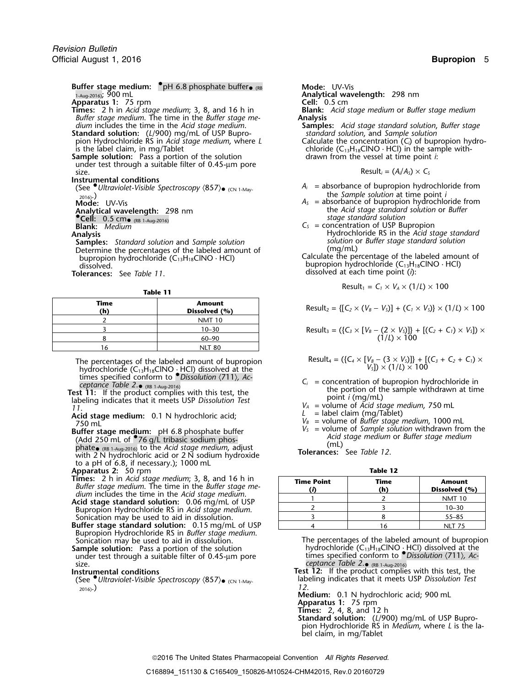Buffer stage medium: <sup>•</sup>pH 6.8 phosphate buffer• (RB 1-Aug-2016); 900 mL 1-Aug-2016); 900 mL **Analytical wavelength:** 298 nm

**Apparatus 1:** 75 rpm<br>**Times:** 2 h in Acid stage medium; 3, 8, and 16 h in<br>**Blank:** Acid stage medium or Buffer stage medium **Times:** 2 h in *Acid stage medium*; 3, 8, and 16 h in **Blank: Blank:** *Buffer stage medium*. The time in the *Buffer stage me-* **Analysis** *Buffer stage medium*. The time in the *Buffer stage me- dium* includes the time in the *Acid stage medium*.

pion Hydrochloride RS in *Acid stage medium*, where *L* Calculate the concentration (*Ci*) of bupropion hydro-From Hyanocranical is in The stage measurity in<br>is the label claim, in mg/Tablet<br>**Sample solution:** Pass a portion of the solution

under test through a suitable filter of 0.45-µm pore size. Result<sub>i</sub> =  $(A_i/A_s) \times C_s$ 

### **Instrumental conditions**

the *Sample solution* at time point *i* 2016).<br>
2016)<br>
Mode: UV-Vis *A<sub>S</sub>* = absorbance of bupropion hydrochloi

**Samples:** *Standard solution* and *Sample solution solution solution* or *Buffer solution* or *Buffer stage solution* (mg/mL) Determine the percentages of the labeled amount of bupropion hydrochloride  $(C_{13}H_{18}CINO \cdot HC)$ bupropion hydrochloride (C<sub>13</sub>H<sub>18</sub>ClNO · HCl) Calculate the percentage of the labeled amount of<br>bupropion hydrochloride (C<sub>13</sub>H<sub>18</sub>ClNO · HCl)

**Table 11**

| Time | Amount<br>Dissolved (%) |
|------|-------------------------|
|      | <b>NMT 10</b>           |
|      | 10–30                   |
|      | 60–90                   |
|      | NLT 80                  |

The percentages of the labeled amount of bupropion **F** hydrochloride (C<sub>13</sub>H<sub>18</sub>ClNO · HCl) dissolved at the times specified conform to *Dissolution* (711), Ac-

times specified conform to  $\bullet$  Dissolution (711), Acceptance Table 2.  $\bullet$  (RB 1-Aug-2016)<br>
Test 11: If the product complies with this test, the<br>
labeling indicates that it meets USP Dissolution Test<br>
11.<br>
11. If the pro

**Buffer stage medium:** pH 6.8 phosphate buffer<br>(Add 250 mL of  $\bullet$ 76 g/L tribasic sodium phos-<br>**Acid stage medium** or *Buffer stage medium*<br>to the *Acid stage medium* adjust (mL) (mL) <sup>p</sup>hate• (RB 1-Aug-2016) to the *Acid stage medium*, adjust **Tolerances:** See *Table 12*. with 2 N hydrochloric acid or 2 N sodium hydroxide to a pH of 6.8, if necessary.); 1000 mL

### **Apparatus 2:** 50 rpm **Table 12**

- Buffer stage medium. The time in the Buffer stage me-<br>dium includes the time in the Acid stage medium.<br>**Acid stage standard solution:** 0.06 mg/mL of USP
- Bupropion Hydrochloride RS in *Acid stage medium*. Sonication may be used to aid in dissolution.
- **Buffer stage standard solution:** 0.15 mg/mL of USP <sup>4</sup> <sup>16</sup> NLT 75 Bupropion Hydrochloride RS in *Buffer stage medium*.
- size. *ceptance Table 2*. (RB 1-Aug-2016)
- 

2016).) *<sup>12</sup>*. **Medium:** 0.1 N hydrochloric acid; 900 mL

(RB **Mode:** UV-Vis

**Samples:** Acid stage standard solution, Buffer stage standard solution, and Sample solution **Standard solution:** (*L*/900) mg/mL of USP Bupro- *standard solution*, and *Sample solution*

chloride  $(C_{13}H_{18}CINO \cdot HCl)$  in the sample with-<br>drawn from the vessel at time point *i*:

$$
Result_i = (A_i/A_s) \times C_i
$$

- (See  $\bullet$ *Ultraviolet-Visible Spectroscopy*  $\langle$ 857) *(CN 1-May-*  $A_i$  = absorbance of bupropion hydrochloride from
- $A<sub>S</sub>$  = absorbance of bupropion hydrochloride from the *Acid stage standard solution* or *Buffer* **Analytical wavelength:** 298 nm **• • • •** *stage standard solution* or *Buffer* **• (RB 1-Aug-2016)**<br>• **Cell:** 0.5 cm **•** (RB 1-Aug-2016)
- **Blank:** *Medium C<sup>S</sup>* = concentration of USP Bupropion Analysis<br>Analysis<br>**Analysis** Hydrochloride RS in the *Acid stage standard*<br>Samples: Standard solution and Sample solution<br>Samples: Standard solution and Sample solution

**Tolerances:** See *Table 11*.

$$
Result_1 = C_1 \times V_A \times (1/L) \times 100
$$

$$
Result_2 = \{ [C_2 \times (V_B - V_5)] + (C_1 \times V_5) \} \times (1/L) \times 100
$$

$$
Result_4 = (\{C_4 \times [V_8 - (3 \times V_5)]\} + [(C_3 + C_2 + C_1) \times (1/L) \times 100]
$$

- 
- 
- 
- 
- 

| <b>Time Point</b> | Time<br>'n) | <b>Amount</b><br>Dissolved (%) |
|-------------------|-------------|--------------------------------|
|                   |             | <b>NMT 10</b>                  |
|                   |             | $10 - 30$                      |
|                   |             | $55 - 85$                      |
|                   |             | NIT 75                         |

Sonication may be used to aid in dissolution. The percentages of the labeled amount of bupropion<br>
Sample solution: Pass a portion of the solution bydrochloride (C<sub>13</sub>H<sub>18</sub>ClNO · HCl) dissolved at the<br>
under test through a **Sample solution:** Pass a portion of the solution **Sample Solution Communisty of the solution** of the solution<br>Sunder test through a suitable filter of 0.45-µm pore times specified conform to *Dissolution*  $\langle 711 \rangle$ , Ac-

**Instrumental conditions Test 12:** If the product complies with this test, the (See •.*Ultraviolet-Visible Spectroscopy* 〈857〉 labeling indicates that it meets USP *Dissolution Test* • (CN 1-May-

**Apparatus 1:** 75 rpm

**Times:** 2, 4, 8, and 12 h

**Standard solution:** (*L*/900) mg/mL of USP Bupropion Hydrochloride RS in *Medium*, where *L* is the label claim, in mg/Tablet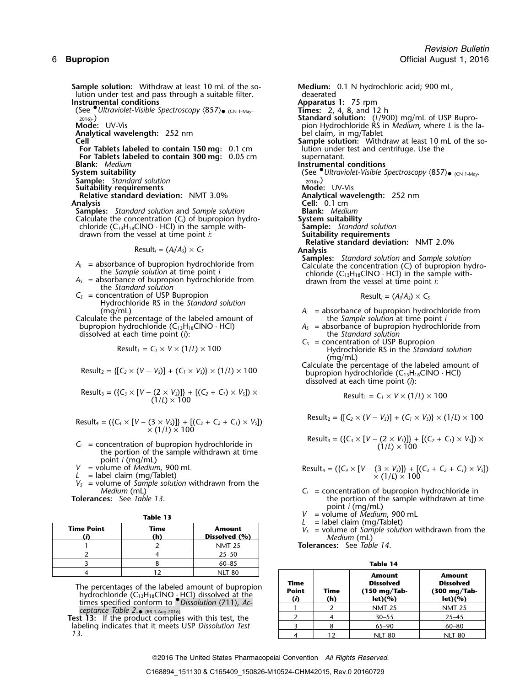**Sample solution:** Withdraw at least 10 mL of the so-<br>
lution under test and pass through a suitable filter.<br>
deaerated lution under test and pass through a suitable filter. deaerated<br> **Instrumental conditions Apparatus 1:** 75 rpm **Instrumental conditions** 

(See *Ultraviolet-Visible Spectroscopy*  $\langle 857 \rangle_{\bullet}$  (CN 1-May-

**Analytical wavelength:** 252 nm<br>Cell

**For Tablets labeled to contain 150 mg:** 0.1 cm lution under **For Tablets labeled to contain 300 mg:** 0.05 cm supernatant. **For Tablets labeled to contain 300 <b>mg:** 0.05 cm Blank: Medium

**Sample:** *Standard solution* 2016).

**Suitability requirements Mode:** UV-Vis

**Samples:** *Standard solution* and *Sample solution* **Blank:** *Medium* Calculate the concentration (C<sub>i</sub>) of bupropion hydro- **System suitability** Calculate the concentration (*C*<sub>*i*</sub>) of bupropion hydro-*System suitability* chloride (*C*<sub>13</sub>H<sub>18</sub>CINO · HCl) in the sample with-**Sample:** Standard solution chloride  $(C_{13}H_{18}CINO \cdot HCl)$  in the sample with-<br>drawn from the vessel at time point *i*:<br>**Suitability requirements** drawn from the vessel at time point *i*:

- 
- 
- $C<sub>S</sub>$  = concentration of USP Bupropion Hydrochloride RS in the *Standard solution*

Calculate the percentage of the labeled amount of bupropion hydrochloride  $(C_{13}H_{18}CINO \cdot HCI)$ dissolved at each time point (*i*): the *Standard solution*

$$
Result_1 = C_1 \times V \times (1/L) \times 100
$$

$$
Result_3 = (\{C_3 \times [V - (2 \times V_3)]\} + [(C_2 + C_1) \times V_3]) \times (1/L) \times 100
$$

$$
Result_4 = (\{C_4 \times [V - (3 \times V_5)]\} + [(C_3 + C_2 + C_1) \times V_5])
$$
\n
$$
Result_2 = \{[C_2 \times (V - V_5)] + (C_1 \times V_5)\} \times (1/l) \times 100
$$
\n
$$
H = \{(C_1 \times V_5) \times (1/l) \times 100\}
$$

- $C_i$  = concentration of bupropion hydrochloride in<br>the portion of the sample withdrawn at time point *i* (mg/mL)<br>= volume of *Medium*, 900 mL
- 
- 
- *V<sup>S</sup>* = volume of *Sample solution* withdrawn from the

| ۰, |  |
|----|--|
|----|--|

| $L = I$ and call (the function $L = I$<br>$V_s$ = volume of Sample solu<br>Medium (mL) | <b>Amount</b><br>Dissolved (%) | Time | <b>Time Point</b> |
|----------------------------------------------------------------------------------------|--------------------------------|------|-------------------|
| <b>Tolerances:</b> See Table 14.                                                       | <b>NMT 25</b>                  |      |                   |
|                                                                                        | $25 - 50$                      |      |                   |
| Table 14                                                                               | $60 - 85$                      |      |                   |
| <b>Amazunt</b>                                                                         | NLT 80                         |      |                   |

 (CN 1-May- **Times:** 2, 4, 8, and 12 h 2016).) **Standard solution:** (*L*/900) mg/mL of USP Bupro-**Mode:** UV-Vis **pion Hydrochloride RS** in *Medium*, where *L* is the la-**Cell Cellim, in mg/Tablet**<br> **Sample solution:** Withdraw at least 10 mL of the so-<br>
lution under test and centrifuge. Use the **Blank:** *Medium* **Instrumental conditions System suitability** (See •.*Ultraviolet-Visible Spectroscopy* 〈857〉• (CN 1-May-**Relative standard deviation:** NMT 3.0% **Analytical wavelength:** 252 nm<br>**Analysis Cell:** 0.1 cm **Cell:** 0.1 cm<br>**Blank:** Medium **Relative standard deviation:** NMT 2.0%  $Result_i = (A_i/A_s) \times C_s$ <br>**Analysis**<br>**Samples:** Standard solution and Sample solution  $A_i$  = absorbance of bupropion hydrochloride from<br>the *Sample solution* at time point *i*<br> $A_s$  = absorbance of bupropion hydrochloride from<br>the *Standard solution*<br>the *Standard solution*<br>the *Standard solution* 

$$
Result_i = (A_i/A_s) \times C_s
$$

- $A_i$  = absorbance of bupropion hydrochloride from<br>the *Sample solution* at time point *i*
- $A<sub>S</sub>$  = absorbance of bupropion hydrochloride from the *Standard solution*
- *Hydrochloride RS in the Standard solution*

(mg/mL)<br>Calculate the percentage of the labeled amount of  $Result_2 = \{[C_2 \times (V - V_5)] + (C_1 \times V_5) \times (1/l) \times 100$  bupropion hydrochloride  $(C_{13}H_{18}CINO \cdot HC)$ dissolved at each time point (*i*):

 $Result_1 = C_1 \times V \times (1/L) \times 100$ 

$$
Result_2 = \{ [C_2 \times (V - V_5)] + (C_1 \times V_5) \} \times (1/L) \times 100
$$

Result<sub>3</sub> = (
$$
\{C_3 \times [V - (2 \times V_3)]\} + [(C_2 + C_1) \times V_5]) \times (1/L) \times 100
$$

$$
V = \text{volume of Medium}, 900 \text{ mL}
$$
\n
$$
= \text{label claim (mg/Table)} \begin{cases}\nV = \text{volume of Medium}, 900 \text{ mL} \\
V = \text{label claim (mg/Table)} \\
V = \text{label claim (mg/Table)}\n\end{cases}
$$
\n
$$
V = \text{volume of } \text{Medium}
$$

- *Medium* (mL) *C<sub>i</sub>* = concentration of bupropion hydrochloride in the portion of the sample withdrawn at time the portion of the sample withdrawn at time point *i* (mg/mL)<br>= volume of *Medium*, 900 mL
	-
	-
	- *V* = volume of *Medium*, 900 mL<br> *L* = label claim (mg/Tablet)<br> *V<sub>S</sub>* = volume of *Sample solution* withdrawn from the **(***i***) (h) Dissolved (%)** *Medium* (mL)

| ×<br>۰,<br>٠ |
|--------------|
|--------------|

| <b>NLT 80</b><br>The percentages of the labeled amount of bupropion<br>hydrochloride $(C_{13}H_{18}CINO \cdot HCl)$ dissolved at the | Time<br><b>Point</b> | Time | <b>Amount</b><br><b>Dissolved</b><br>$(150 \text{ mg/Tab}$ | <b>Amount</b><br><b>Dissolved</b><br>(300 mg/Tab- |
|--------------------------------------------------------------------------------------------------------------------------------------|----------------------|------|------------------------------------------------------------|---------------------------------------------------|
| times specified conform to <i>Dissolution</i> (711), Ac-<br>ceptance Table 2. (RB 1-Aug-2016)                                        | $\ddot{\Omega}$      | (h)  | let)(%<br><b>NMT 25</b>                                    | $let)(\%)$<br><b>NMT 25</b>                       |
| Test 13: If the product complies with this test, the                                                                                 |                      |      | $30 - 55$                                                  | $25 - 45$                                         |
| labeling indicates that it meets USP Dissolution Test                                                                                |                      |      | 65–90                                                      | 60–80                                             |
|                                                                                                                                      |                      |      | <b>NLT 80</b>                                              | <b>NLT 80</b>                                     |

2016 The United States Pharmacopeial Convention *All Rights Reserved.*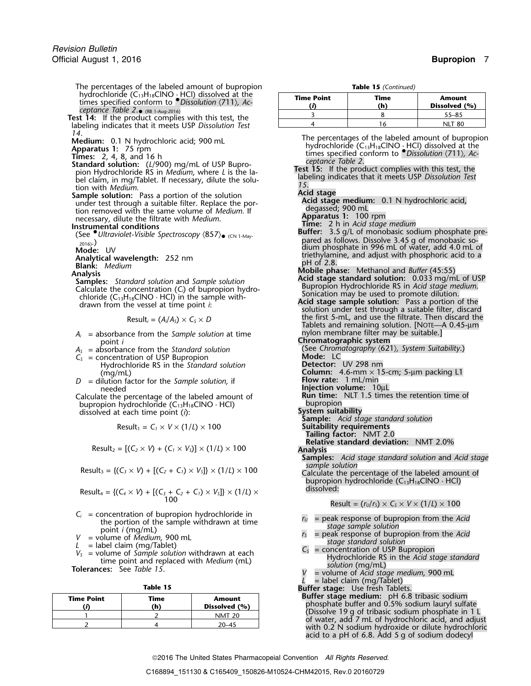labeling indicates that it meets USP Dissolution Test *14*.

- 
- necessary, dilute the filtrate with *Medium*.

$$
Result_i = (A_i/A_s) \times C_s \times D
$$

- $A_i$  = absorbance from the *Sample solution* at time  $\overline{C}$ point *<sup>i</sup>* **Chromatographic system**
- $A<sub>S</sub>$  = absorbance from the *Standard solution*
- $C<sub>S</sub> = concentration of USP Bupropion$ Hydrochloride RS in the *Standard solution*
- *D* = dilution factor for the *Sample solution*, if needed needed **Injection volume:** 10µL

$$
Result_3 = \{ (C_3 \times V) + [(C_2 + C_1) \times V_5] \} \times (1/L) \times 100
$$

$$
Result_4 = \{(C_4 \times V) + [(C_3 + C_2 + C_1) \times V_5] \} \times (1/L) \times
$$
 dissolved:

- 
- 
- 
- 

| <b>Time Point</b> | Time<br>(h) | Amount<br>Dissolved (%) | <b>Buffer stage medium:</b> pH 6.8 tribasic sodium<br>phosphate buffer and 0.5% sodium lauryl sulfa |
|-------------------|-------------|-------------------------|-----------------------------------------------------------------------------------------------------|
|                   |             | <b>NMT 20</b>           | (Dissolve 19 g of tribasic sodium phosphate in                                                      |
|                   |             | $20 - 45$               | of water, add 7 mL of hydrochloric acid, and a<br>with 0.2 N sodium hydroxide or dilute hydrog      |

| <b>Table 15</b> (Continued) |
|-----------------------------|

| <b>Time Point</b> | Time<br>(h) | Amount<br>Dissolved (%) |
|-------------------|-------------|-------------------------|
|                   |             | $55 - 85$               |
|                   |             | <b>NLT 80</b>           |
|                   |             |                         |

- Medium: 0.1 N hydrochloric acid; 900 mL<br>
Apparatus 1: 75 rpm<br>
Times: 2, 4, 8, and 16 h<br>
Times: 2, 4, 8, and 16 h<br>
Times: 2, 4, 8, and 16 h<br>
Times: 2, 4, 8, and 16 h<br>
times specified conform to  $\bullet$  Dissolution (711), Ac-<br>
	-

|                                  | Sample solution: Pass a portion of the solution                                                 |                                                                      | Acia stage                                                           |
|----------------------------------|-------------------------------------------------------------------------------------------------|----------------------------------------------------------------------|----------------------------------------------------------------------|
|                                  | under test through a suitable filter. Replace the por-                                          |                                                                      | Acid stage medium: 0.1 N hydrochloric acid,                          |
|                                  | tion removed with the same volume of <i>Medium</i> . If                                         |                                                                      | degassed; 900 mL                                                     |
|                                  | necessary, dilute the filtrate with Medium.                                                     |                                                                      | Apparatus 1: 100 rpm                                                 |
| <b>Instrumental conditions</b>   |                                                                                                 |                                                                      | Time: 2 h in Acid stage medium                                       |
|                                  | (See Ultraviolet-Visible Spectroscopy $\langle 857 \rangle_{\bullet}$ (CN 1-May-                |                                                                      | <b>Buffer:</b> 3.5 g/L of monobasic sodium phosphate pre-            |
| $(2016)$ .                       |                                                                                                 |                                                                      | pared as follows. Dissolve 3.45 g of monobasic so-                   |
| Mode: UV                         |                                                                                                 |                                                                      | dium phosphate in 996 mL of water, add 4.0 mL of                     |
|                                  | Analytical wavelength: 252 nm                                                                   |                                                                      | triethylamine, and adjust with phosphoric acid to a                  |
| <b>Blank:</b> Medium             |                                                                                                 |                                                                      | pH of 2.8.                                                           |
|                                  |                                                                                                 |                                                                      | <b>Mobile phase:</b> Methanol and Buffer (45:55)                     |
| Analysis                         |                                                                                                 |                                                                      | Acid stage standard solution: 0.033 mg/mL of USP                     |
|                                  | <b>Samples:</b> Standard solution and Sample solution                                           |                                                                      | Bupropion Hydrochloride RS in Acid stage medium.                     |
|                                  | Calculate the concentration $(C_i)$ of bupropion hydro-                                         |                                                                      | Sonication may be used to promote dilution.                          |
|                                  | chloride $(C_{13}H_{18}CINO \cdot HCl)$ in the sample with-                                     |                                                                      | Acid stage sample solution: Pass a portion of the                    |
|                                  | drawn from the vessel at time point $i$ :                                                       |                                                                      | solution under test through a suitable filter, discard               |
|                                  |                                                                                                 |                                                                      | the first 5-mL, and use the filtrate. Then discard the               |
|                                  | Result <sub>i</sub> = $(A_i/A_s) \times C_s \times D$                                           |                                                                      |                                                                      |
|                                  |                                                                                                 |                                                                      | Tablets and remaining solution. [NOTE-A 0.45-µm                      |
|                                  | $A_i$ = absorbance from the Sample solution at time                                             |                                                                      | nylon membrane filter may be suitable.]                              |
| point <i>i</i>                   |                                                                                                 |                                                                      | Chromatographic system                                               |
|                                  | $AS$ = absorbance from the Standard solution                                                    |                                                                      | (See Chromatography $(621)$ , System Suitability.)                   |
|                                  | $CS$ = concentration of USP Bupropion                                                           |                                                                      | Mode: LC                                                             |
|                                  | Hydrochloride RS in the Standard solution                                                       |                                                                      | Detector: UV 298 nm                                                  |
| (mq/mL)                          |                                                                                                 |                                                                      | Column: 4.6-mm $\times$ 15-cm; 5-µm packing L1                       |
|                                  | $D =$ dilution factor for the Sample solution, if                                               |                                                                      | Flow rate: $1 mL/min$                                                |
| needed                           |                                                                                                 |                                                                      | Injection volume: 10µL                                               |
|                                  | Calculate the percentage of the labeled amount of                                               |                                                                      | Run time: NLT 1.5 times the retention time of                        |
|                                  | bupropion hydrochloride $(C_{13}H_{18}CINO \cdot HCl)$                                          |                                                                      | bupropion                                                            |
|                                  | dissolved at each time point $(i)$ :                                                            |                                                                      | System suitability                                                   |
|                                  |                                                                                                 |                                                                      | Sample: Acid stage standard solution                                 |
|                                  | Result <sub>1</sub> = $C_1 \times V \times (1/L) \times 100$                                    |                                                                      | <b>Suitability requirements</b>                                      |
|                                  |                                                                                                 |                                                                      | Tailing factor: NMT 2.0                                              |
|                                  |                                                                                                 |                                                                      | Relative standard deviation: NMT 2.0%                                |
|                                  | Result <sub>2</sub> = [(C <sub>2</sub> × V) + (C <sub>1</sub> × V <sub>S</sub> )] × (1/L) × 100 |                                                                      | <b>Analysis</b>                                                      |
|                                  |                                                                                                 |                                                                      | <b>Samples:</b> Acid stage standard solution and Acid stage          |
|                                  |                                                                                                 |                                                                      | sample solution                                                      |
|                                  | Result <sub>3</sub> = { $(C_3 \times V)$ + $[(C_2 + C_1) \times V_5]$ } × (1/L) × 100           |                                                                      | Calculate the percentage of the labeled amount of                    |
|                                  |                                                                                                 |                                                                      |                                                                      |
|                                  |                                                                                                 |                                                                      | bupropion hydrochloride (C <sub>13</sub> H <sub>18</sub> ClNO · HCl) |
|                                  | Result <sub>4</sub> = { $(C_4 \times V)$ + $[(C_3 + C_2 + C_1) \times V_5]$ } × (1/L) ×         |                                                                      | dissolved:                                                           |
|                                  |                                                                                                 |                                                                      |                                                                      |
|                                  |                                                                                                 |                                                                      | Result = $(r_U/r_S) \times C_S \times V \times (1/L) \times 100$     |
|                                  | $C_i$ = concentration of bupropion hydrochloride in                                             |                                                                      |                                                                      |
|                                  | the portion of the sample withdrawn at time                                                     |                                                                      | = peak response of bupropion from the Acid<br>$r_{U}$                |
|                                  | point <i>i</i> (mg/mL)                                                                          |                                                                      | stage sample solution                                                |
|                                  | $V =$ volume of Medium, 900 mL                                                                  |                                                                      | = peak response of bupropion from the Acid<br>r <sub>S</sub>         |
|                                  | $L =$ label claim (mg/Tablet)                                                                   |                                                                      | stage standard solution                                              |
|                                  | $V_s$ = volume of Sample solution withdrawn at each                                             |                                                                      | = concentration of USP Bupropion<br>$C_{S}$                          |
|                                  | time point and replaced with Medium (mL)                                                        |                                                                      | Hydrochloride RS in the Acid stage standard                          |
| <b>Tolerances:</b> See Table 15. |                                                                                                 |                                                                      | solution (mg/mL)                                                     |
|                                  |                                                                                                 |                                                                      | V<br>= volume of Acid stage medium, 900 mL                           |
|                                  |                                                                                                 |                                                                      | = label claim (mg/Tablet)                                            |
|                                  | Table 15                                                                                        |                                                                      | Buffer stage: Use fresh Tablets.                                     |
| 'ime Point                       | Time                                                                                            | <b>Amount</b>                                                        | Buffer stage medium: pH 6.8 tribasic sodium                          |
| $\sqrt{2}$                       |                                                                                                 | $D: \mathbb{R}^n \to \mathbb{R}^n \to \mathbb{R}^n \to \mathbb{R}^n$ | phosphate buffer and 0.5% sodium lauryl sulfate                      |

**Example 1** (b) **Dissolved (%)**<br> **Example 1 Dissolved (%) CD Example 19 ON CD EXAMPLE 1 CD EXAMPLE 1 CD EXAMPLE 1 CD EXAMPLE 1 CD EXAMPLE 1 CD EXAMPLE 1 CD EXAMPLE 1 CD EXAMPLE 1 C** acid to a pH of 6.8. Add 5 g of sodium dodecyl

2016 The United States Pharmacopeial Convention *All Rights Reserved.*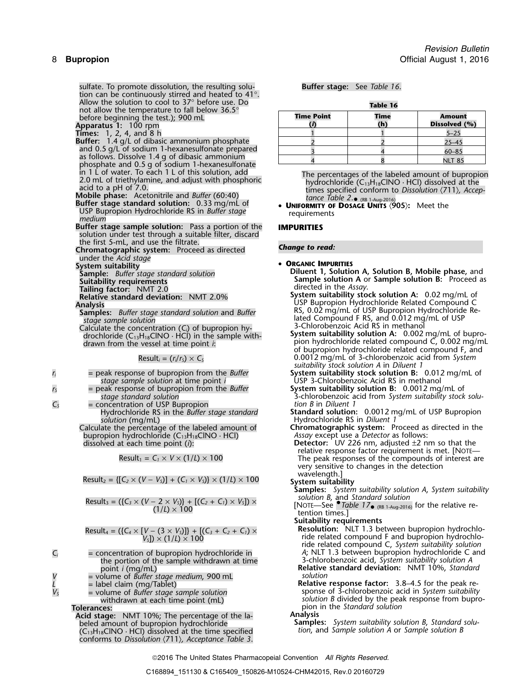sulfate. To promote dissolution, the resulting solu- **Buffer stage:** See *Table 16*. tion can be continuously stirred and heated to 41°. Allow the solution to cool to 37° before use. Do **Table 16** not allow the temperature to fall below 36.5° not allow the temperature to fall below 36.5°<br>before beginning the test.); 900 mL<br>**Apparatus 1:** 100 rpm

**Buffer:** 1.4 g/L of dibasic ammonium phosphate <sup>2</sup> <sup>2</sup> 25–45 and 0.5 g/L of sodium 1-hexanesulfonate prepared as follows. Dissolve 1.4 g of dibasic ammonium phosphate and 0.5 g of sodium 1-hexanesulfonate<br>in 1 L of water. To each 1 L of this solution, add

**Buffer stage standard solution:** 0.33 mg/mL of

**<sup>U</sup>NIFORMITY OF DOSAGE UNITS** 〈**905**〉**:** Meet the USP Bupropion Hydrochloride RS in *Buffer stage* requirements *medium*

**Buffer stage sample solution:** Pass a portion of the **IMPURITIES** solution under test through a suitable filter, discard the first 5-mL, and use the filtrate. *Change to read:* **Chromatographic system:** Proceed as directed

under the *Acid stage*

**System suitability**<br> **System suitability**<br> **Sample:** Buffer stage standard solution<br> **Sample:** Buffer stage standard solution

**Tailing factor:** NMT 2.0 directed in the *Assay*.

- **Samples:** Buffer stage standard solution and Buffer stage sample solution
- Calculate the concentration  $(C_i)$  of bupropion hy-<br>drochloride  $(C_1, H_1, CINO \cdot HC)$  in the sample with-

- *r<sub>i</sub>* = peak response of bupropion from the *Buffer* stage sample solution at time point *i*  $r<sub>S</sub>$  = peak response of bupropion from the *Buffer C*<sub>S</sub> = concentration of USP Bupropion<br>*Hydrochloride RS* in the *Buffer stage standard* 
	- *solution* (mg/mL) Hydrochloride RS in *Diluent 1*

bupropion hydrochloride (C<sub>13</sub>H<sub>18</sub>ClNO · HCl)<br>dissolved at each time point (*i*):

 $Result_2 = \{ [C_2 \times (V - V_5)] + (C_1 \times V_5) \} \times (1/L) \times 100$  System suitability

*solution B*, and *Standard solution* Result<sup>3</sup> = ({*C<sup>3</sup>* <sup>×</sup> (*<sup>V</sup>* <sup>−</sup> 2 <sup>×</sup> *<sup>V</sup>S*)} + [(*C2*<sup>+</sup>*C1*) <sup>×</sup> *<sup>V</sup>S*]) <sup>×</sup> [NOTE—See •.*Table 17*•

 $Result_4 = (\{C_4 \times [V - (3 \times V_5)]\} + [(C_3 + C_2 + C_1) \times V_5] \times (1/L) \times 100$ 

- 
- *<sup>V</sup>* = volume of *Buffer stage medium*, <sup>900</sup> mL *solution*
	- -

Acid stage: NMT 10%; The percentage of the labeled amount of bupropion hydrochloride (C13H18ClNO · HCl) dissolved at the time specified *tion*, and *Sample solution A* or *Sample solution B* conforms to *Dissolution* 〈711〉*, Acceptance Table 3*.

| not allow the temperature to fall below 36.5°<br>before beginning the test.); 900 mL<br>Apparatus 1: 100 rpm | <b>Time Point</b> | Time<br>(h) | <b>Amount</b><br>Dissolved (%) |
|--------------------------------------------------------------------------------------------------------------|-------------------|-------------|--------------------------------|
| <b>Times:</b> 1, 2, 4, and 8 h                                                                               |                   |             | $5 - 25$                       |
| <b>Buffer:</b> 1.4 g/L of dibasic ammonium phosphate                                                         |                   |             | $25 - 45$                      |
| and 0.5 g/L of sodium 1-hexanesulfonate prepared                                                             |                   |             | $60 - 85$                      |
| as follows. Dissolve 1.4 g of dibasic ammonium                                                               |                   |             | <b>NIT 85</b>                  |

In 1 L of water. 10 each 1 L of this solution, add<br>
2.0 mL of triethylamine, and adjust with phosphoric<br>
acid to a pH of 7.0.<br>
Mobile phase: Acetonitrile and *Buffer* (60:40)<br>
Buffer stage standard solution: 0.33 mg/mL of tance Table 2. $\bullet$  (RB 1-Aug-2016)

- 
- **Sample: Buffer Solution A, Solution B, Mobile phase, and Sample solution A or Sample solution B:** Proceed as **Suitability requirements Sample solution A** or **Sample solution B:** Proceed as
- **System suitability stock solution A:** 0.02 mg/mL of Analysis<br>Analysis<br>**Analysis** USP Bupropion Hydrochloride Related Compound C<br>Samples: *Ruffer stage standard solution and Ruffer* RS, 0.02 mg/mL of USP Bupropion Hydrochloride Related Compound F RS, and 0.012 mg/mL of USP<br>3-Chlorobenzoic Acid RS in methanol
	- drochloride (C<sub>13</sub>H<sub>18</sub>ClNO · HCl) in the sample with-<br>drochloride (C<sub>13</sub>H<sub>18</sub>ClNO · HCl) in the sample with-<br> drawn from the vessel at time point *i*: **inclusively** pion hydrochloride related compound C, 0.002 mg/mL<br>of bupropion hydrochloride related compound F, and  $Result_i = (r_i/r_s) \times C_s$  0.0012 mg/mL of 3-chlorobenzoic acid from System *suitability stock solution A* in *Diluent 1*
		- *Stage Sample is a Chlorobenzoic Acid RS in methanol*<br>**System suitability solution B:** 0.0012 mg/mL of
		- *stage standard solution*<br> **3-chlorobenzoic** acid from *System suitability stock solu-*<br> *soncentration of USP Bupropion*<br> *sion B in Diluent 1*
		- Hydrochloride RS in the *Buffer stage standard* **Standard solution:** 0.0012 mg/mL of USP Bupropion
- Calculate the percentage of the labeled amount of **Chromatographic system:** Proceed as directed in the bupropion hydrochloride (C<sub>13</sub>H<sub>18</sub>ClNO · HCl) *Assay* except use a *Detector* as follows:
	- **Detector:** UV 226 nm, adjusted ±2 nm so that the relative response factor requirement is met. [NOTE-Result<sub>1</sub> =  $C_1 \times V \times (1/L) \times 100$  The peak responses of the compounds of interest are very sensitive to changes in the detection<br>wavelength.]
		-
		- **Samples:** *System suitability solution A*, *System suitability*
		- solution *B*, and *Standard solution*<br>[NOTE—See  $\bullet$  *Table 17* $\bullet$  <sub>(RB 1-Aug-2016)</sub> for the relative re-
		-
- **Suitability requirements** ride related compound F and bupropion hydrochlo-<br>*ride related compound C, System suitability solution*<br>*A*; NLT 1.3 between bupropion hydrochloride C and *<sup>C</sup><sup>i</sup>* = concentration of bupropion hydrochloride in *<sup>A</sup>*; NLT 1.3 between bupropion hydrochloride C and the portion of the sample withdrawn at time 3-chlorobenzoic acid, *System suitability solution A* point *i* (mg/mL) **Relative standard deviation:** NMT 10%, *Standard*

*<sup>L</sup>* = label claim (mg/Tablet) **Relative response factor:** 3.8–4.5 for the peak re- $V_s$  = volume of *Buffer stage sample solution*<br>withdrawn at each time point (mL)  $\begin{array}{ccc} \text{symbol} & \text{symbol} & \text{symbol} & \text{symbol} \\ \text{symbol} & \text{symbol} & \text{symbol} & \text{symbol} \\ \text{symbol} & \text{symbol} & \text{symbol} & \text{symbol} \end{array}$  solution *B* divided by the peak response from bupro withdrawn at each time point (mL) *solution B* divided by the peak response from bupro-<br>**Tolerances:** withdrawn at each time point (mL) pion in the Standard solution **Tolerances:** pion in the *Standard solution*

**Samples:** *System suitability solution B, Standard solution, and Sample solution A or Sample solution B*